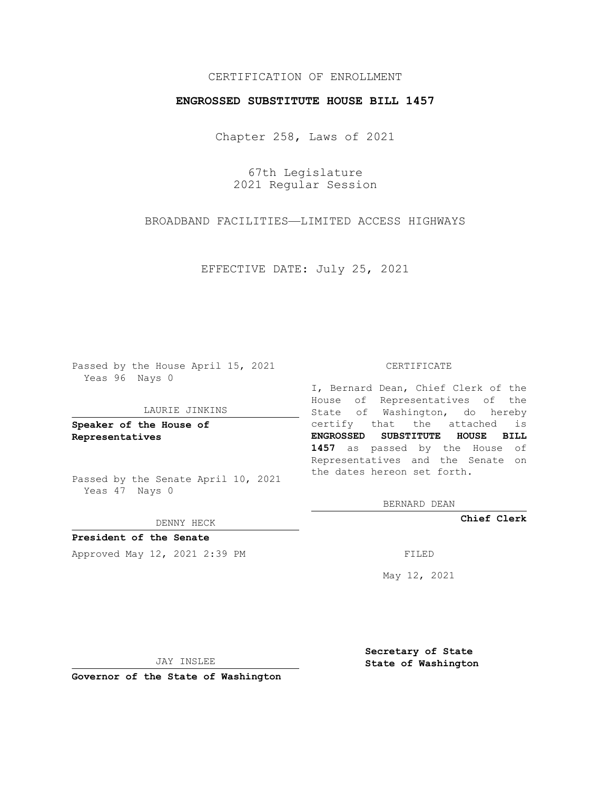## CERTIFICATION OF ENROLLMENT

## **ENGROSSED SUBSTITUTE HOUSE BILL 1457**

Chapter 258, Laws of 2021

67th Legislature 2021 Regular Session

BROADBAND FACILITIES—LIMITED ACCESS HIGHWAYS

EFFECTIVE DATE: July 25, 2021

Passed by the House April 15, 2021 Yeas 96 Nays 0

### LAURIE JINKINS

**Speaker of the House of Representatives**

Passed by the Senate April 10, 2021 Yeas 47 Nays 0

DENNY HECK

**President of the Senate** Approved May 12, 2021 2:39 PM FILED

#### CERTIFICATE

I, Bernard Dean, Chief Clerk of the House of Representatives of the State of Washington, do hereby certify that the attached is **ENGROSSED SUBSTITUTE HOUSE BILL 1457** as passed by the House of Representatives and the Senate on the dates hereon set forth.

BERNARD DEAN

**Chief Clerk**

May 12, 2021

JAY INSLEE

**Governor of the State of Washington**

**Secretary of State State of Washington**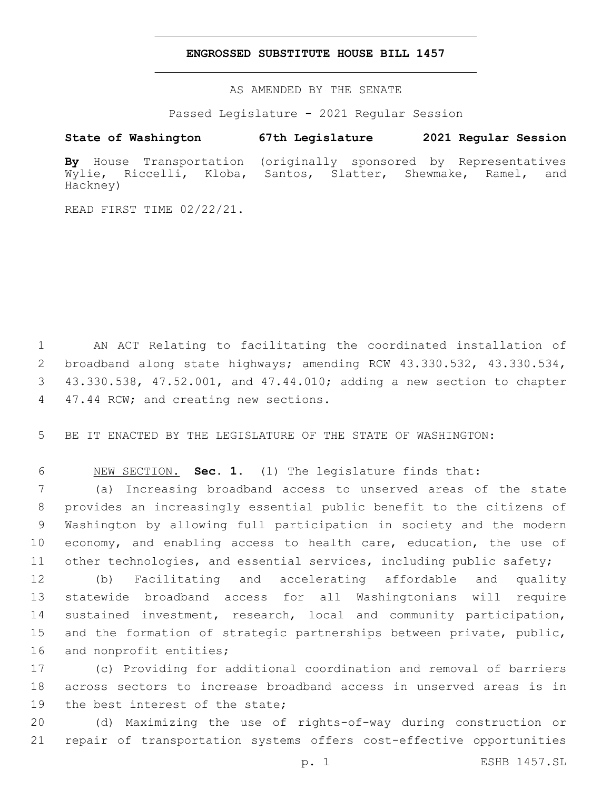## **ENGROSSED SUBSTITUTE HOUSE BILL 1457**

AS AMENDED BY THE SENATE

Passed Legislature - 2021 Regular Session

# **State of Washington 67th Legislature 2021 Regular Session**

**By** House Transportation (originally sponsored by Representatives Wylie, Riccelli, Kloba, Santos, Slatter, Shewmake, Ramel, and Hackney)

READ FIRST TIME 02/22/21.

 AN ACT Relating to facilitating the coordinated installation of broadband along state highways; amending RCW 43.330.532, 43.330.534, 43.330.538, 47.52.001, and 47.44.010; adding a new section to chapter 4 47.44 RCW; and creating new sections.

5 BE IT ENACTED BY THE LEGISLATURE OF THE STATE OF WASHINGTON:

6 NEW SECTION. **Sec. 1.** (1) The legislature finds that:

 (a) Increasing broadband access to unserved areas of the state provides an increasingly essential public benefit to the citizens of Washington by allowing full participation in society and the modern 10 economy, and enabling access to health care, education, the use of other technologies, and essential services, including public safety;

12 (b) Facilitating and accelerating affordable and quality 13 statewide broadband access for all Washingtonians will require 14 sustained investment, research, local and community participation, 15 and the formation of strategic partnerships between private, public, 16 and nonprofit entities;

17 (c) Providing for additional coordination and removal of barriers 18 across sectors to increase broadband access in unserved areas is in 19 the best interest of the state;

20 (d) Maximizing the use of rights-of-way during construction or 21 repair of transportation systems offers cost-effective opportunities

p. 1 ESHB 1457.SL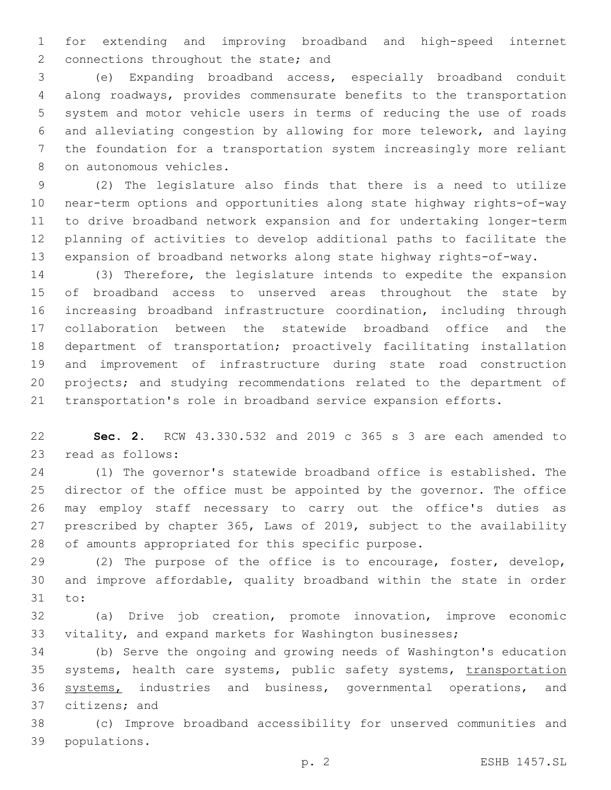for extending and improving broadband and high-speed internet 2 connections throughout the state; and

 (e) Expanding broadband access, especially broadband conduit along roadways, provides commensurate benefits to the transportation system and motor vehicle users in terms of reducing the use of roads and alleviating congestion by allowing for more telework, and laying the foundation for a transportation system increasingly more reliant 8 on autonomous vehicles.

 (2) The legislature also finds that there is a need to utilize near-term options and opportunities along state highway rights-of-way to drive broadband network expansion and for undertaking longer-term planning of activities to develop additional paths to facilitate the expansion of broadband networks along state highway rights-of-way.

 (3) Therefore, the legislature intends to expedite the expansion of broadband access to unserved areas throughout the state by increasing broadband infrastructure coordination, including through collaboration between the statewide broadband office and the department of transportation; proactively facilitating installation and improvement of infrastructure during state road construction projects; and studying recommendations related to the department of transportation's role in broadband service expansion efforts.

 **Sec. 2.** RCW 43.330.532 and 2019 c 365 s 3 are each amended to 23 read as follows:

 (1) The governor's statewide broadband office is established. The director of the office must be appointed by the governor. The office may employ staff necessary to carry out the office's duties as prescribed by chapter 365, Laws of 2019, subject to the availability of amounts appropriated for this specific purpose.

 (2) The purpose of the office is to encourage, foster, develop, and improve affordable, quality broadband within the state in order 31 to:

 (a) Drive job creation, promote innovation, improve economic vitality, and expand markets for Washington businesses;

 (b) Serve the ongoing and growing needs of Washington's education 35 systems, health care systems, public safety systems, transportation systems, industries and business, governmental operations, and 37 citizens; and

 (c) Improve broadband accessibility for unserved communities and populations.39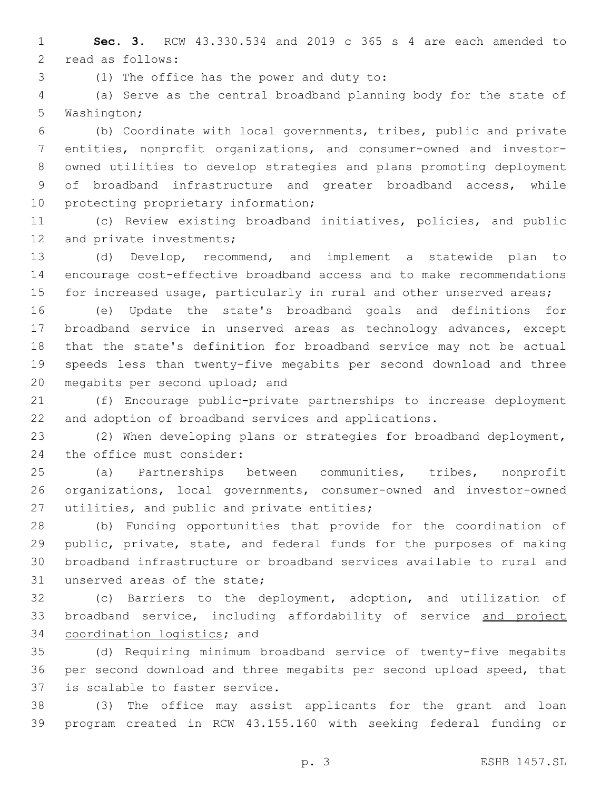**Sec. 3.** RCW 43.330.534 and 2019 c 365 s 4 are each amended to 2 read as follows:

(1) The office has the power and duty to:3

 (a) Serve as the central broadband planning body for the state of 5 Washington;

 (b) Coordinate with local governments, tribes, public and private entities, nonprofit organizations, and consumer-owned and investor- owned utilities to develop strategies and plans promoting deployment of broadband infrastructure and greater broadband access, while 10 protecting proprietary information;

 (c) Review existing broadband initiatives, policies, and public 12 and private investments;

 (d) Develop, recommend, and implement a statewide plan to encourage cost-effective broadband access and to make recommendations 15 for increased usage, particularly in rural and other unserved areas;

 (e) Update the state's broadband goals and definitions for broadband service in unserved areas as technology advances, except that the state's definition for broadband service may not be actual speeds less than twenty-five megabits per second download and three 20 megabits per second upload; and

 (f) Encourage public-private partnerships to increase deployment and adoption of broadband services and applications.

 (2) When developing plans or strategies for broadband deployment, 24 the office must consider:

 (a) Partnerships between communities, tribes, nonprofit organizations, local governments, consumer-owned and investor-owned 27 utilities, and public and private entities;

 (b) Funding opportunities that provide for the coordination of public, private, state, and federal funds for the purposes of making broadband infrastructure or broadband services available to rural and 31 unserved areas of the state;

 (c) Barriers to the deployment, adoption, and utilization of 33 broadband service, including affordability of service and project 34 coordination logistics; and

 (d) Requiring minimum broadband service of twenty-five megabits per second download and three megabits per second upload speed, that 37 is scalable to faster service.

 (3) The office may assist applicants for the grant and loan program created in RCW 43.155.160 with seeking federal funding or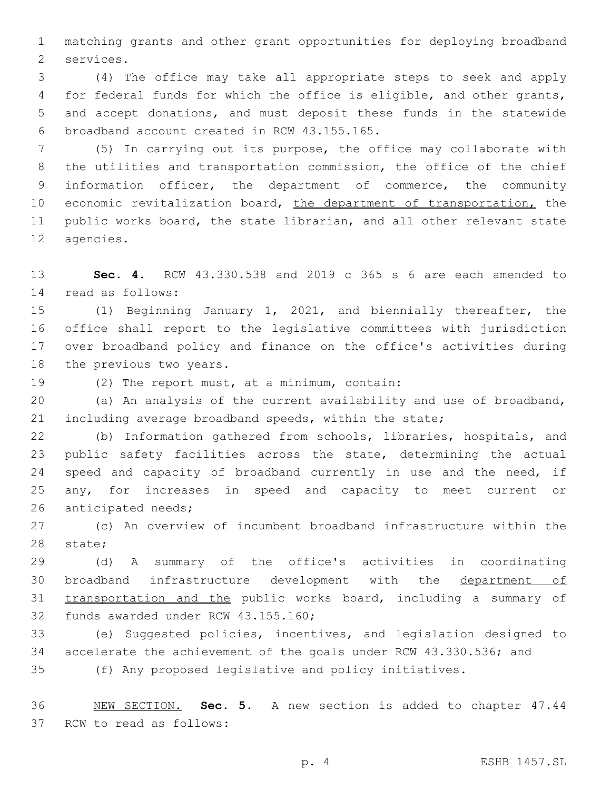matching grants and other grant opportunities for deploying broadband 2 services.

 (4) The office may take all appropriate steps to seek and apply for federal funds for which the office is eligible, and other grants, and accept donations, and must deposit these funds in the statewide 6 broadband account created in RCW 43.155.165.

 (5) In carrying out its purpose, the office may collaborate with the utilities and transportation commission, the office of the chief information officer, the department of commerce, the community 10 economic revitalization board, the department of transportation, the public works board, the state librarian, and all other relevant state 12 agencies.

 **Sec. 4.** RCW 43.330.538 and 2019 c 365 s 6 are each amended to read as follows:14

 (1) Beginning January 1, 2021, and biennially thereafter, the office shall report to the legislative committees with jurisdiction over broadband policy and finance on the office's activities during 18 the previous two years.

19 (2) The report must, at a minimum, contain:

 (a) An analysis of the current availability and use of broadband, including average broadband speeds, within the state;

 (b) Information gathered from schools, libraries, hospitals, and public safety facilities across the state, determining the actual 24 speed and capacity of broadband currently in use and the need, if any, for increases in speed and capacity to meet current or 26 anticipated needs;

 (c) An overview of incumbent broadband infrastructure within the 28 state;

 (d) A summary of the office's activities in coordinating broadband infrastructure development with the department of 31 transportation and the public works board, including a summary of 32 funds awarded under RCW 43.155.160;

 (e) Suggested policies, incentives, and legislation designed to accelerate the achievement of the goals under RCW 43.330.536; and (f) Any proposed legislative and policy initiatives.

 NEW SECTION. **Sec. 5.** A new section is added to chapter 47.44 37 RCW to read as follows: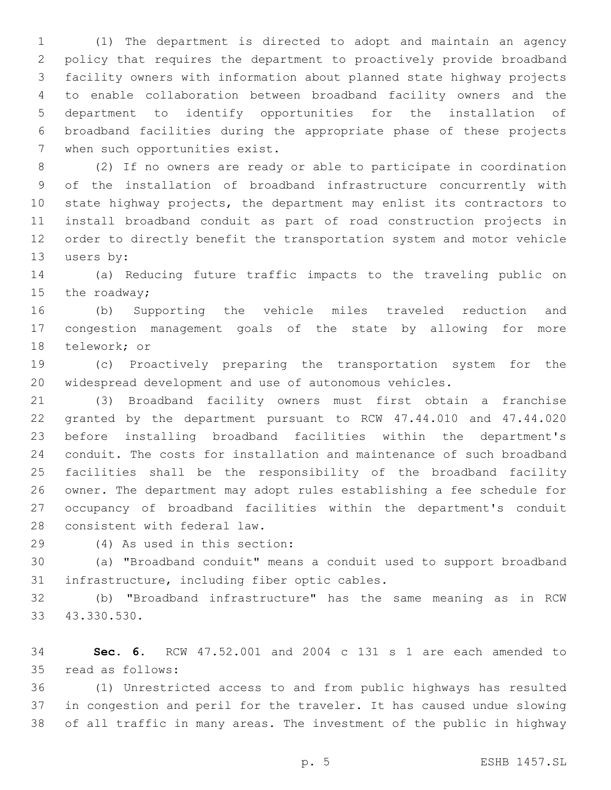(1) The department is directed to adopt and maintain an agency policy that requires the department to proactively provide broadband facility owners with information about planned state highway projects to enable collaboration between broadband facility owners and the department to identify opportunities for the installation of broadband facilities during the appropriate phase of these projects 7 when such opportunities exist.

 (2) If no owners are ready or able to participate in coordination of the installation of broadband infrastructure concurrently with state highway projects, the department may enlist its contractors to install broadband conduit as part of road construction projects in order to directly benefit the transportation system and motor vehicle 13 users by:

 (a) Reducing future traffic impacts to the traveling public on 15 the roadway;

 (b) Supporting the vehicle miles traveled reduction and congestion management goals of the state by allowing for more 18 telework; or

 (c) Proactively preparing the transportation system for the widespread development and use of autonomous vehicles.

 (3) Broadband facility owners must first obtain a franchise granted by the department pursuant to RCW 47.44.010 and 47.44.020 before installing broadband facilities within the department's conduit. The costs for installation and maintenance of such broadband facilities shall be the responsibility of the broadband facility owner. The department may adopt rules establishing a fee schedule for occupancy of broadband facilities within the department's conduit 28 consistent with federal law.

(4) As used in this section:29

 (a) "Broadband conduit" means a conduit used to support broadband 31 infrastructure, including fiber optic cables.

 (b) "Broadband infrastructure" has the same meaning as in RCW 43.330.530.33

 **Sec. 6.** RCW 47.52.001 and 2004 c 131 s 1 are each amended to 35 read as follows:

 (1) Unrestricted access to and from public highways has resulted in congestion and peril for the traveler. It has caused undue slowing of all traffic in many areas. The investment of the public in highway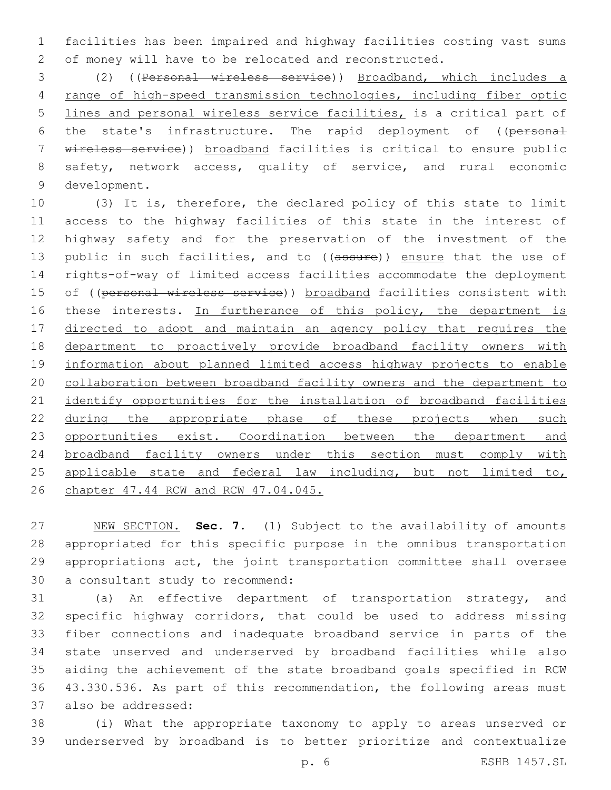facilities has been impaired and highway facilities costing vast sums of money will have to be relocated and reconstructed.

 (2) ((Personal wireless service)) Broadband, which includes a range of high-speed transmission technologies, including fiber optic lines and personal wireless service facilities, is a critical part of the state's infrastructure. The rapid deployment of ((personal wireless service)) broadband facilities is critical to ensure public safety, network access, quality of service, and rural economic 9 development.

 (3) It is, therefore, the declared policy of this state to limit access to the highway facilities of this state in the interest of highway safety and for the preservation of the investment of the 13 public in such facilities, and to ((assure)) ensure that the use of rights-of-way of limited access facilities accommodate the deployment 15 of ((personal wireless service)) broadband facilities consistent with 16 these interests. In furtherance of this policy, the department is 17 directed to adopt and maintain an agency policy that requires the 18 department to proactively provide broadband facility owners with information about planned limited access highway projects to enable collaboration between broadband facility owners and the department to identify opportunities for the installation of broadband facilities 22 during the appropriate phase of these projects when such 23 opportunities exist. Coordination between the department and broadband facility owners under this section must comply with 25 applicable state and federal law including, but not limited to, chapter 47.44 RCW and RCW 47.04.045.

 NEW SECTION. **Sec. 7.** (1) Subject to the availability of amounts appropriated for this specific purpose in the omnibus transportation appropriations act, the joint transportation committee shall oversee a consultant study to recommend:

 (a) An effective department of transportation strategy, and specific highway corridors, that could be used to address missing fiber connections and inadequate broadband service in parts of the state unserved and underserved by broadband facilities while also aiding the achievement of the state broadband goals specified in RCW 43.330.536. As part of this recommendation, the following areas must 37 also be addressed:

 (i) What the appropriate taxonomy to apply to areas unserved or underserved by broadband is to better prioritize and contextualize

p. 6 ESHB 1457.SL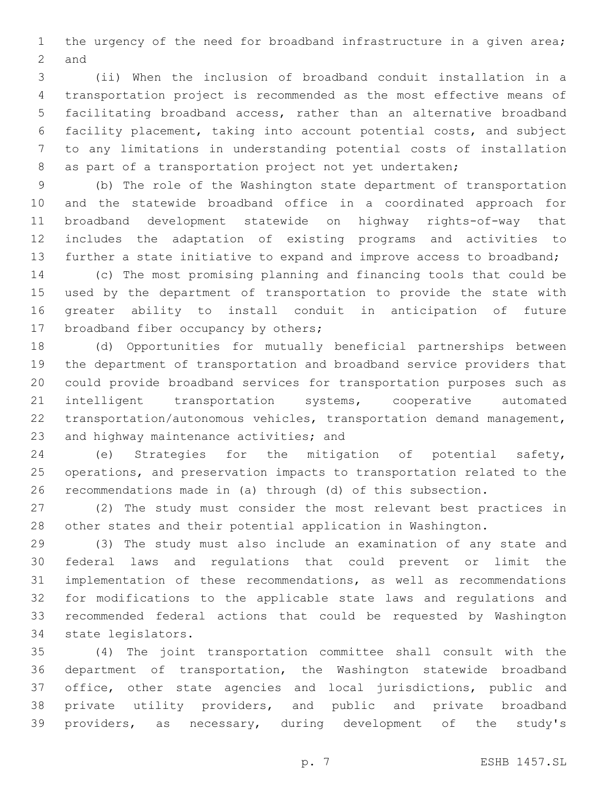1 the urgency of the need for broadband infrastructure in a given area; 2 and

 (ii) When the inclusion of broadband conduit installation in a transportation project is recommended as the most effective means of facilitating broadband access, rather than an alternative broadband facility placement, taking into account potential costs, and subject to any limitations in understanding potential costs of installation as part of a transportation project not yet undertaken;

 (b) The role of the Washington state department of transportation and the statewide broadband office in a coordinated approach for broadband development statewide on highway rights-of-way that includes the adaptation of existing programs and activities to further a state initiative to expand and improve access to broadband;

 (c) The most promising planning and financing tools that could be used by the department of transportation to provide the state with greater ability to install conduit in anticipation of future 17 broadband fiber occupancy by others;

 (d) Opportunities for mutually beneficial partnerships between the department of transportation and broadband service providers that could provide broadband services for transportation purposes such as intelligent transportation systems, cooperative automated transportation/autonomous vehicles, transportation demand management, 23 and highway maintenance activities; and

 (e) Strategies for the mitigation of potential safety, operations, and preservation impacts to transportation related to the recommendations made in (a) through (d) of this subsection.

 (2) The study must consider the most relevant best practices in other states and their potential application in Washington.

 (3) The study must also include an examination of any state and federal laws and regulations that could prevent or limit the implementation of these recommendations, as well as recommendations for modifications to the applicable state laws and regulations and recommended federal actions that could be requested by Washington 34 state legislators.

 (4) The joint transportation committee shall consult with the department of transportation, the Washington statewide broadband office, other state agencies and local jurisdictions, public and private utility providers, and public and private broadband providers, as necessary, during development of the study's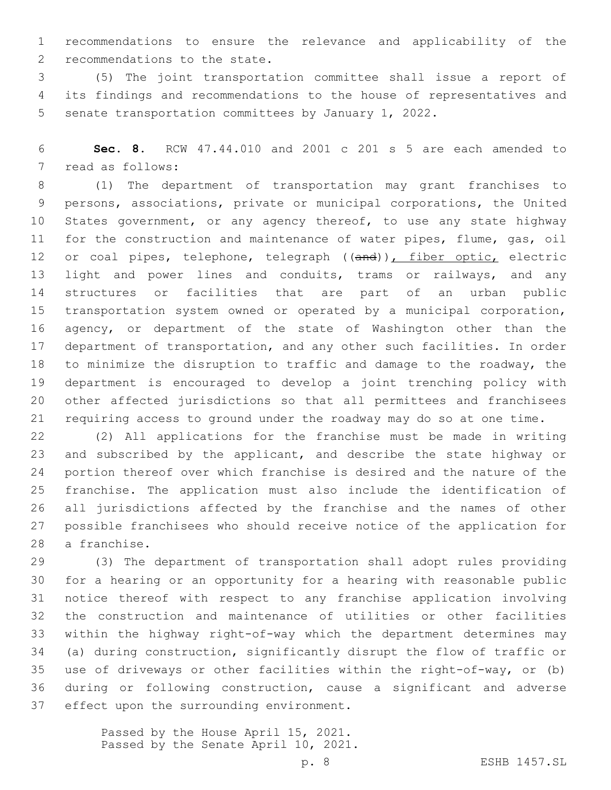recommendations to ensure the relevance and applicability of the 2 recommendations to the state.

 (5) The joint transportation committee shall issue a report of its findings and recommendations to the house of representatives and senate transportation committees by January 1, 2022.

 **Sec. 8.** RCW 47.44.010 and 2001 c 201 s 5 are each amended to 7 read as follows:

 (1) The department of transportation may grant franchises to persons, associations, private or municipal corporations, the United States government, or any agency thereof, to use any state highway for the construction and maintenance of water pipes, flume, gas, oil 12 or coal pipes, telephone, telegraph ((and)), fiber optic, electric 13 light and power lines and conduits, trams or railways, and any structures or facilities that are part of an urban public transportation system owned or operated by a municipal corporation, 16 agency, or department of the state of Washington other than the department of transportation, and any other such facilities. In order to minimize the disruption to traffic and damage to the roadway, the department is encouraged to develop a joint trenching policy with other affected jurisdictions so that all permittees and franchisees requiring access to ground under the roadway may do so at one time.

 (2) All applications for the franchise must be made in writing and subscribed by the applicant, and describe the state highway or portion thereof over which franchise is desired and the nature of the franchise. The application must also include the identification of all jurisdictions affected by the franchise and the names of other possible franchisees who should receive notice of the application for 28 a franchise.

 (3) The department of transportation shall adopt rules providing for a hearing or an opportunity for a hearing with reasonable public notice thereof with respect to any franchise application involving the construction and maintenance of utilities or other facilities within the highway right-of-way which the department determines may (a) during construction, significantly disrupt the flow of traffic or use of driveways or other facilities within the right-of-way, or (b) during or following construction, cause a significant and adverse 37 effect upon the surrounding environment.

> Passed by the House April 15, 2021. Passed by the Senate April 10, 2021.